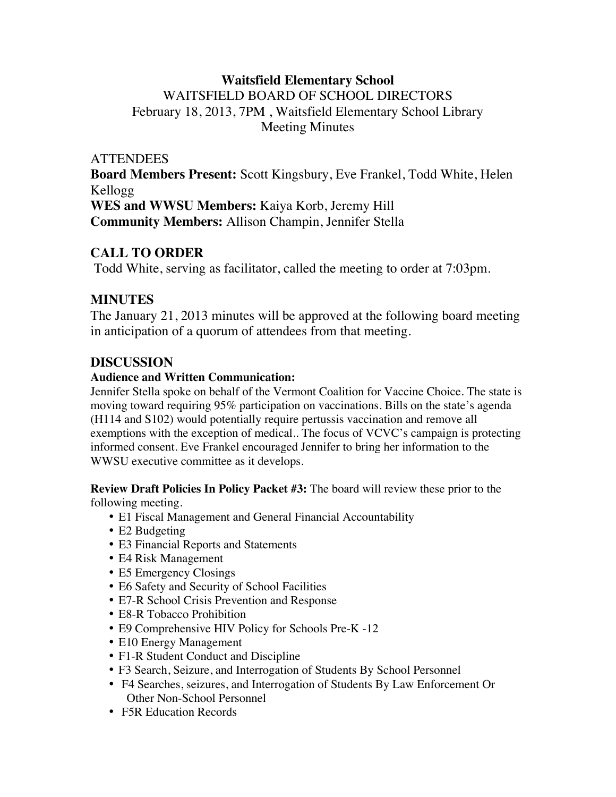# **Waitsfield Elementary School**

WAITSFIELD BOARD OF SCHOOL DIRECTORS February 18, 2013, 7PM , Waitsfield Elementary School Library Meeting Minutes

### **ATTENDEES**

**Board Members Present:** Scott Kingsbury, Eve Frankel, Todd White, Helen Kellogg **WES and WWSU Members:** Kaiya Korb, Jeremy Hill **Community Members:** Allison Champin, Jennifer Stella

### **CALL TO ORDER**

Todd White, serving as facilitator, called the meeting to order at 7:03pm.

### **MINUTES**

The January 21, 2013 minutes will be approved at the following board meeting in anticipation of a quorum of attendees from that meeting.

### **DISCUSSION**

#### **Audience and Written Communication:**

Jennifer Stella spoke on behalf of the Vermont Coalition for Vaccine Choice. The state is moving toward requiring 95% participation on vaccinations. Bills on the state's agenda (H114 and S102) would potentially require pertussis vaccination and remove all exemptions with the exception of medical.. The focus of VCVC's campaign is protecting informed consent. Eve Frankel encouraged Jennifer to bring her information to the WWSU executive committee as it develops.

**Review Draft Policies In Policy Packet #3:** The board will review these prior to the following meeting.

- E1 Fiscal Management and General Financial Accountability
- E2 Budgeting
- E3 Financial Reports and Statements
- E4 Risk Management
- E5 Emergency Closings
- E6 Safety and Security of School Facilities
- E7-R School Crisis Prevention and Response
- E8-R Tobacco Prohibition
- E9 Comprehensive HIV Policy for Schools Pre-K -12
- E10 Energy Management
- F1-R Student Conduct and Discipline
- F3 Search, Seizure, and Interrogation of Students By School Personnel
- F4 Searches, seizures, and Interrogation of Students By Law Enforcement Or Other Non-School Personnel
- F5R Education Records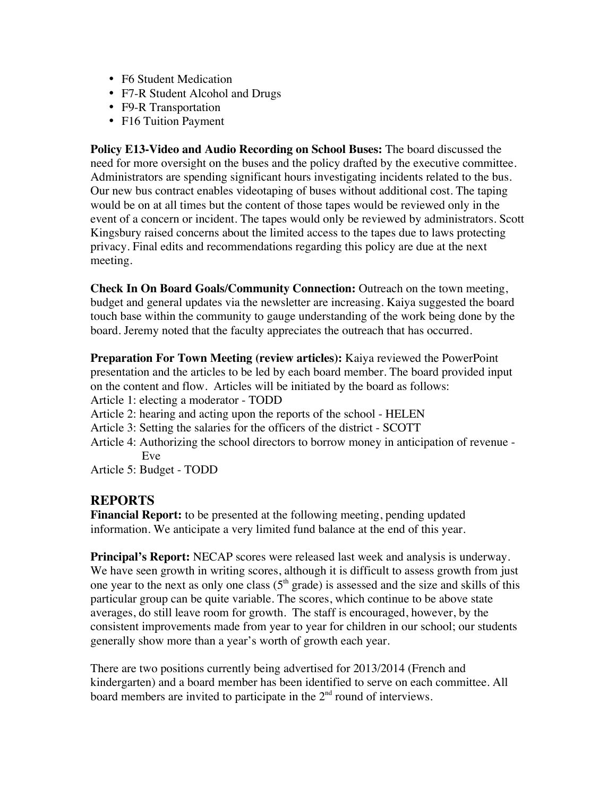- F6 Student Medication
- F7-R Student Alcohol and Drugs
- F9-R Transportation
- F16 Tuition Payment

**Policy E13-Video and Audio Recording on School Buses:** The board discussed the need for more oversight on the buses and the policy drafted by the executive committee. Administrators are spending significant hours investigating incidents related to the bus. Our new bus contract enables videotaping of buses without additional cost. The taping would be on at all times but the content of those tapes would be reviewed only in the event of a concern or incident. The tapes would only be reviewed by administrators. Scott Kingsbury raised concerns about the limited access to the tapes due to laws protecting privacy. Final edits and recommendations regarding this policy are due at the next meeting.

**Check In On Board Goals/Community Connection:** Outreach on the town meeting, budget and general updates via the newsletter are increasing. Kaiya suggested the board touch base within the community to gauge understanding of the work being done by the board. Jeremy noted that the faculty appreciates the outreach that has occurred.

**Preparation For Town Meeting (review articles):** Kaiya reviewed the PowerPoint presentation and the articles to be led by each board member. The board provided input on the content and flow. Articles will be initiated by the board as follows: Article 1: electing a moderator - TODD

Article 2: hearing and acting upon the reports of the school - HELEN

- Article 3: Setting the salaries for the officers of the district SCOTT
- Article 4: Authorizing the school directors to borrow money in anticipation of revenue Eve

Article 5: Budget - TODD

### **REPORTS**

**Financial Report:** to be presented at the following meeting, pending updated information. We anticipate a very limited fund balance at the end of this year.

**Principal's Report:** NECAP scores were released last week and analysis is underway. We have seen growth in writing scores, although it is difficult to assess growth from just one year to the next as only one class  $(5<sup>th</sup> grade)$  is assessed and the size and skills of this particular group can be quite variable. The scores, which continue to be above state averages, do still leave room for growth. The staff is encouraged, however, by the consistent improvements made from year to year for children in our school; our students generally show more than a year's worth of growth each year.

There are two positions currently being advertised for 2013/2014 (French and kindergarten) and a board member has been identified to serve on each committee. All board members are invited to participate in the  $2<sup>nd</sup>$  round of interviews.